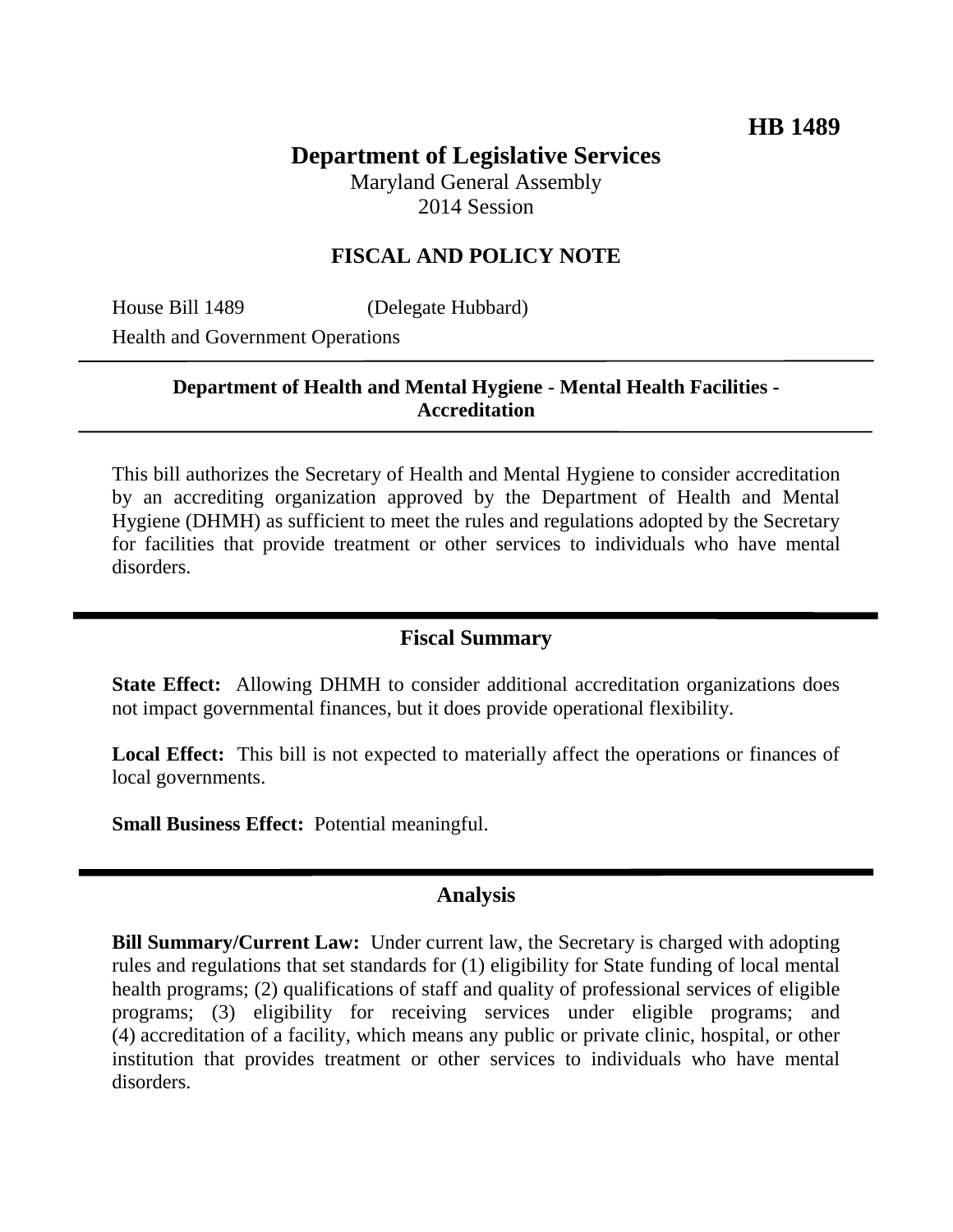# **Department of Legislative Services**

Maryland General Assembly 2014 Session

## **FISCAL AND POLICY NOTE**

House Bill 1489 (Delegate Hubbard) Health and Government Operations

## **Department of Health and Mental Hygiene - Mental Health Facilities - Accreditation**

This bill authorizes the Secretary of Health and Mental Hygiene to consider accreditation by an accrediting organization approved by the Department of Health and Mental Hygiene (DHMH) as sufficient to meet the rules and regulations adopted by the Secretary for facilities that provide treatment or other services to individuals who have mental disorders.

#### **Fiscal Summary**

**State Effect:** Allowing DHMH to consider additional accreditation organizations does not impact governmental finances, but it does provide operational flexibility.

**Local Effect:** This bill is not expected to materially affect the operations or finances of local governments.

**Small Business Effect:** Potential meaningful.

#### **Analysis**

**Bill Summary/Current Law:** Under current law, the Secretary is charged with adopting rules and regulations that set standards for (1) eligibility for State funding of local mental health programs; (2) qualifications of staff and quality of professional services of eligible programs; (3) eligibility for receiving services under eligible programs; and (4) accreditation of a facility, which means any public or private clinic, hospital, or other institution that provides treatment or other services to individuals who have mental disorders.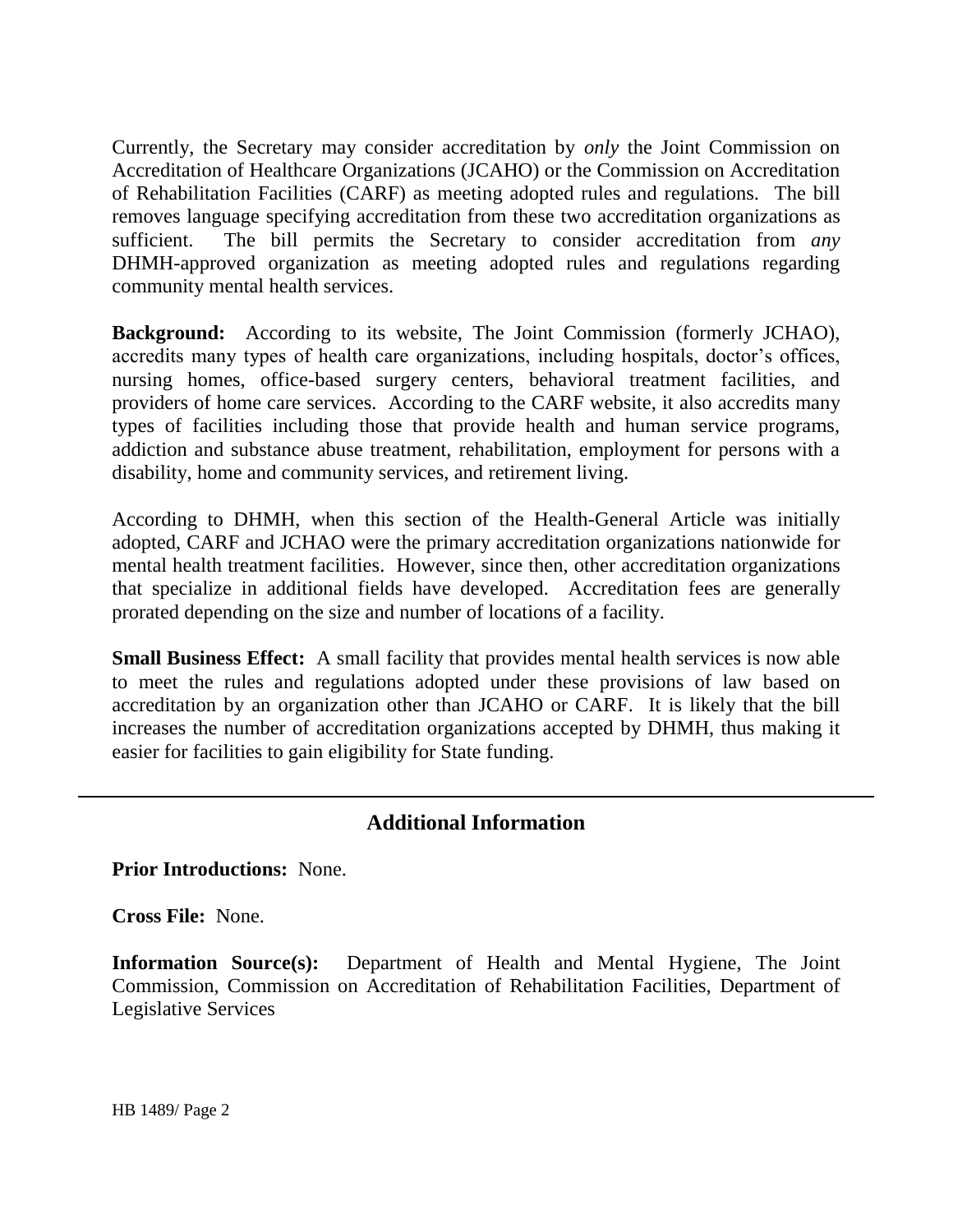Currently, the Secretary may consider accreditation by *only* the Joint Commission on Accreditation of Healthcare Organizations (JCAHO) or the Commission on Accreditation of Rehabilitation Facilities (CARF) as meeting adopted rules and regulations. The bill removes language specifying accreditation from these two accreditation organizations as sufficient. The bill permits the Secretary to consider accreditation from *any* DHMH-approved organization as meeting adopted rules and regulations regarding community mental health services.

**Background:** According to its website, The Joint Commission (formerly JCHAO), accredits many types of health care organizations, including hospitals, doctor's offices, nursing homes, office-based surgery centers, behavioral treatment facilities, and providers of home care services. According to the CARF website, it also accredits many types of facilities including those that provide health and human service programs, addiction and substance abuse treatment, rehabilitation, employment for persons with a disability, home and community services, and retirement living.

According to DHMH, when this section of the Health-General Article was initially adopted, CARF and JCHAO were the primary accreditation organizations nationwide for mental health treatment facilities. However, since then, other accreditation organizations that specialize in additional fields have developed. Accreditation fees are generally prorated depending on the size and number of locations of a facility.

**Small Business Effect:** A small facility that provides mental health services is now able to meet the rules and regulations adopted under these provisions of law based on accreditation by an organization other than JCAHO or CARF. It is likely that the bill increases the number of accreditation organizations accepted by DHMH, thus making it easier for facilities to gain eligibility for State funding.

# **Additional Information**

**Prior Introductions:** None.

**Cross File:** None.

**Information Source(s):** Department of Health and Mental Hygiene, The Joint Commission, Commission on Accreditation of Rehabilitation Facilities, Department of Legislative Services